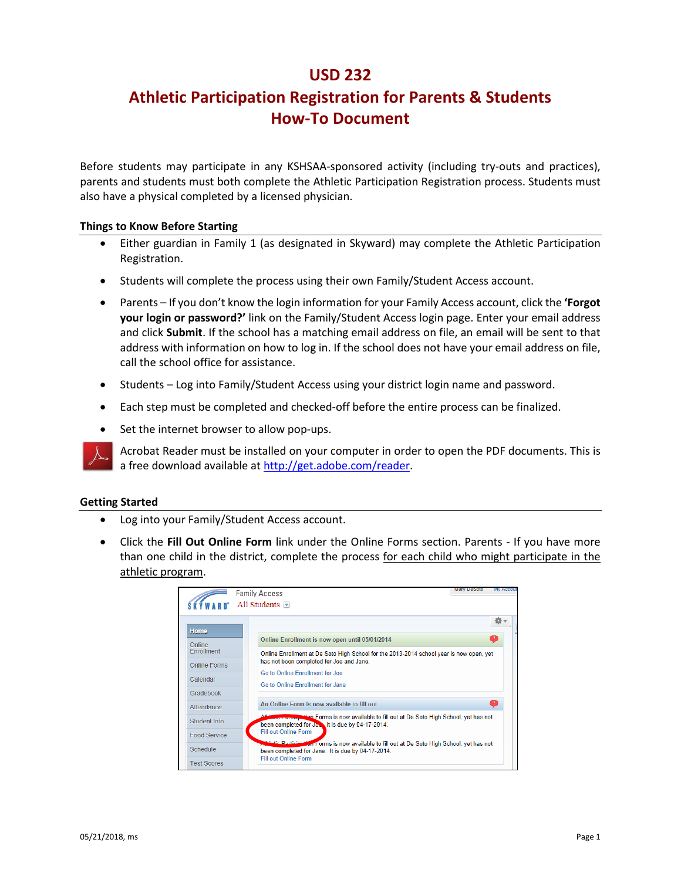# **USD 232**

# **Athletic Participation Registration for Parents & Students How-To Document**

Before students may participate in any KSHSAA-sponsored activity (including try-outs and practices), parents and students must both complete the Athletic Participation Registration process. Students must also have a physical completed by a licensed physician.

#### **Things to Know Before Starting**

- Either guardian in Family 1 (as designated in Skyward) may complete the Athletic Participation Registration.
- Students will complete the process using their own Family/Student Access account.
- Parents If you don't know the login information for your Family Access account, click the **'Forgot your login or password?'** link on the Family/Student Access login page. Enter your email address and click **Submit**. If the school has a matching email address on file, an email will be sent to that address with information on how to log in. If the school does not have your email address on file, call the school office for assistance.
- Students Log into Family/Student Access using your district login name and password.
- Each step must be completed and checked-off before the entire process can be finalized.
- Set the internet browser to allow pop-ups.

Acrobat Reader must be installed on your computer in order to open the PDF documents. This is a free download available at [http://get.adobe.com/reader.](http://get.adobe.com/reader)

#### **Getting Started**

- Log into your Family/Student Access account.
- Click the **Fill Out Online Form** link under the Online Forms section. Parents If you have more than one child in the district, complete the process for each child who might participate in the athletic program.